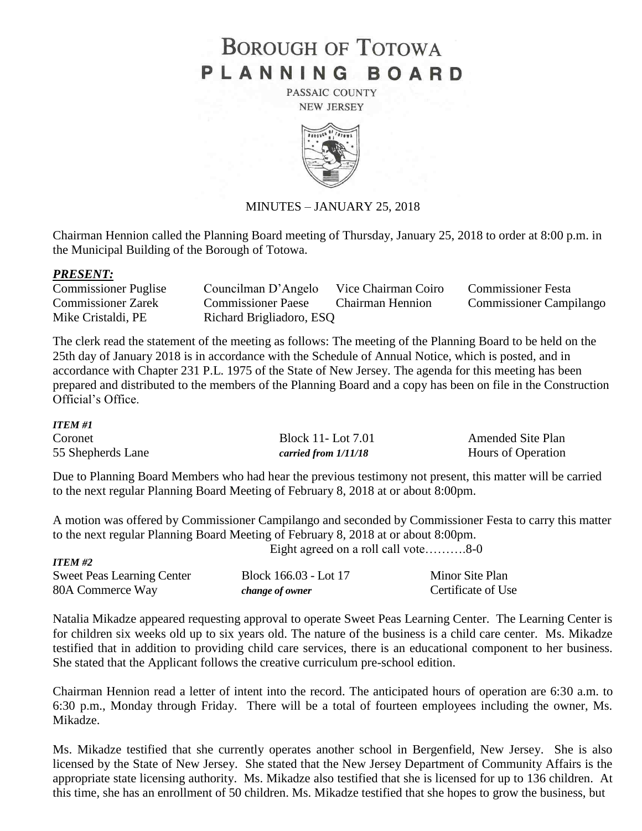# **BOROUGH OF TOTOWA** PLANNING BOARD

PASSAIC COUNTY **NEW JERSEY** 



# MINUTES – JANUARY 25, 2018

Chairman Hennion called the Planning Board meeting of Thursday, January 25, 2018 to order at 8:00 p.m. in the Municipal Building of the Borough of Totowa.

## *PRESENT:*

| <b>Commissioner Puglise</b> | Councilman D'Angelo Vice Chairman Coiro |                  | <b>Commissioner Festa</b>      |
|-----------------------------|-----------------------------------------|------------------|--------------------------------|
| <b>Commissioner Zarek</b>   | <b>Commissioner Paese</b>               | Chairman Hennion | <b>Commissioner Campilango</b> |
| Mike Cristaldi, PE          | Richard Brigliadoro, ESQ                |                  |                                |

The clerk read the statement of the meeting as follows: The meeting of the Planning Board to be held on the 25th day of January 2018 is in accordance with the Schedule of Annual Notice, which is posted, and in accordance with Chapter 231 P.L. 1975 of the State of New Jersey. The agenda for this meeting has been prepared and distributed to the members of the Planning Board and a copy has been on file in the Construction Official's Office.

### *ITEM #1*

| Coronet           | <b>Block 11-Lot 7.01</b> | <b>Amended Site Plan</b> |
|-------------------|--------------------------|--------------------------|
| 55 Shepherds Lane | carried from $1/11/18$   | Hours of Operation       |

Due to Planning Board Members who had hear the previous testimony not present, this matter will be carried to the next regular Planning Board Meeting of February 8, 2018 at or about 8:00pm.

A motion was offered by Commissioner Campilango and seconded by Commissioner Festa to carry this matter to the next regular Planning Board Meeting of February 8, 2018 at or about 8:00pm. Eight agreed on a roll call vote  $\sim$  8-0

| <i>ITEM #2</i>                    |                       |                    |  |
|-----------------------------------|-----------------------|--------------------|--|
| <b>Sweet Peas Learning Center</b> | Block 166.03 - Lot 17 | Minor Site Plan    |  |
| 80A Commerce Way                  | change of owner       | Certificate of Use |  |

Natalia Mikadze appeared requesting approval to operate Sweet Peas Learning Center. The Learning Center is for children six weeks old up to six years old. The nature of the business is a child care center. Ms. Mikadze testified that in addition to providing child care services, there is an educational component to her business. She stated that the Applicant follows the creative curriculum pre-school edition.

Chairman Hennion read a letter of intent into the record. The anticipated hours of operation are 6:30 a.m. to 6:30 p.m., Monday through Friday. There will be a total of fourteen employees including the owner, Ms. Mikadze.

Ms. Mikadze testified that she currently operates another school in Bergenfield, New Jersey. She is also licensed by the State of New Jersey. She stated that the New Jersey Department of Community Affairs is the appropriate state licensing authority. Ms. Mikadze also testified that she is licensed for up to 136 children. At this time, she has an enrollment of 50 children. Ms. Mikadze testified that she hopes to grow the business, but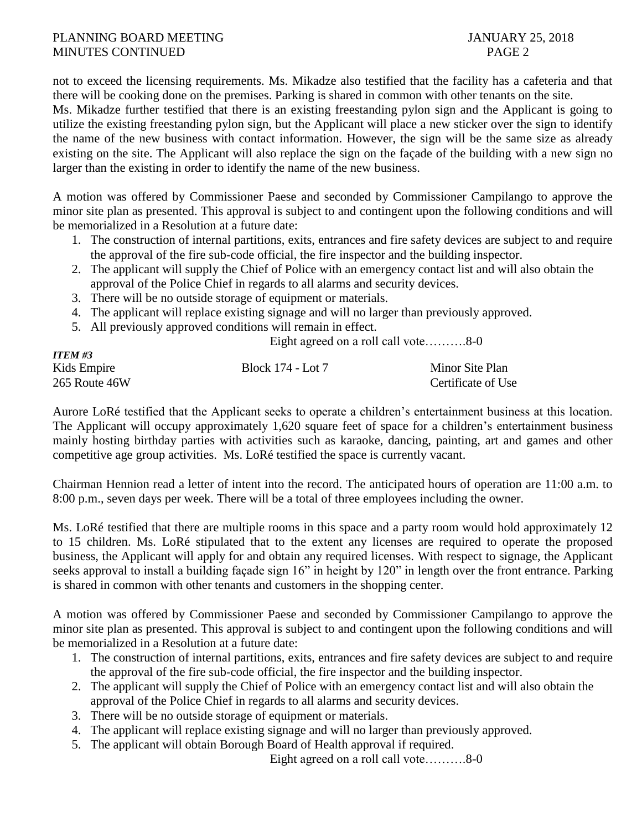# PLANNING BOARD MEETING JANUARY 25, 2018 MINUTES CONTINUED PAGE 2

not to exceed the licensing requirements. Ms. Mikadze also testified that the facility has a cafeteria and that there will be cooking done on the premises. Parking is shared in common with other tenants on the site.

Ms. Mikadze further testified that there is an existing freestanding pylon sign and the Applicant is going to utilize the existing freestanding pylon sign, but the Applicant will place a new sticker over the sign to identify the name of the new business with contact information. However, the sign will be the same size as already existing on the site. The Applicant will also replace the sign on the façade of the building with a new sign no larger than the existing in order to identify the name of the new business.

A motion was offered by Commissioner Paese and seconded by Commissioner Campilango to approve the minor site plan as presented. This approval is subject to and contingent upon the following conditions and will be memorialized in a Resolution at a future date:

- 1. The construction of internal partitions, exits, entrances and fire safety devices are subject to and require the approval of the fire sub-code official, the fire inspector and the building inspector.
- 2. The applicant will supply the Chief of Police with an emergency contact list and will also obtain the approval of the Police Chief in regards to all alarms and security devices.
- 3. There will be no outside storage of equipment or materials.
- 4. The applicant will replace existing signage and will no larger than previously approved.
- 5. All previously approved conditions will remain in effect.

Eight agreed on a roll call vote……….8-0

| <b>ITEM #3</b> |                   |                    |
|----------------|-------------------|--------------------|
| Kids Empire    | Block 174 - Lot 7 | Minor Site Plan    |
| 265 Route 46W  |                   | Certificate of Use |

Aurore LoRé testified that the Applicant seeks to operate a children's entertainment business at this location. The Applicant will occupy approximately 1,620 square feet of space for a children's entertainment business mainly hosting birthday parties with activities such as karaoke, dancing, painting, art and games and other competitive age group activities. Ms. LoRé testified the space is currently vacant.

Chairman Hennion read a letter of intent into the record. The anticipated hours of operation are 11:00 a.m. to 8:00 p.m., seven days per week. There will be a total of three employees including the owner.

Ms. LoRé testified that there are multiple rooms in this space and a party room would hold approximately 12 to 15 children. Ms. LoRé stipulated that to the extent any licenses are required to operate the proposed business, the Applicant will apply for and obtain any required licenses. With respect to signage, the Applicant seeks approval to install a building façade sign 16" in height by 120" in length over the front entrance. Parking is shared in common with other tenants and customers in the shopping center.

A motion was offered by Commissioner Paese and seconded by Commissioner Campilango to approve the minor site plan as presented. This approval is subject to and contingent upon the following conditions and will be memorialized in a Resolution at a future date:

- 1. The construction of internal partitions, exits, entrances and fire safety devices are subject to and require the approval of the fire sub-code official, the fire inspector and the building inspector.
- 2. The applicant will supply the Chief of Police with an emergency contact list and will also obtain the approval of the Police Chief in regards to all alarms and security devices.
- 3. There will be no outside storage of equipment or materials.
- 4. The applicant will replace existing signage and will no larger than previously approved.
- 5. The applicant will obtain Borough Board of Health approval if required.

Eight agreed on a roll call vote……….8-0